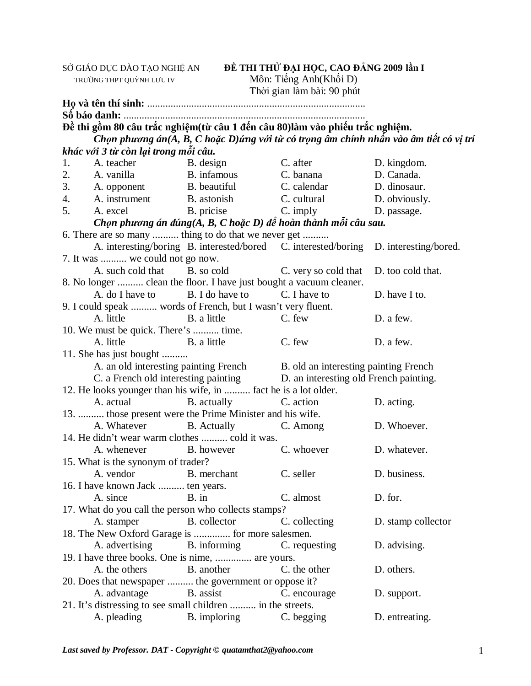TRƯỜNG THPT QUỲNH LƯU IV MÔN: Tiếng Anh(Khối D)

SỞ GIÁO DỤC ĐÀO TẠO NGHỆ AN **ĐỀ THI THỬ ĐẠI HỌC, CAO ĐẲNG 2009 lần I** 

|    |                                                                               |                                                                                      | Thời gian làm bài: 90 phút             |                                                                                       |
|----|-------------------------------------------------------------------------------|--------------------------------------------------------------------------------------|----------------------------------------|---------------------------------------------------------------------------------------|
|    |                                                                               |                                                                                      |                                        |                                                                                       |
|    |                                                                               |                                                                                      |                                        |                                                                                       |
|    | Đề thi gồm 80 câu trắc nghiệm(từ câu 1 đến câu 80) làm vào phiếu trắc nghiệm. |                                                                                      |                                        |                                                                                       |
|    |                                                                               |                                                                                      |                                        | Chọn phương án(A, B, C hoặc D)ứng với từ có trọng âm chính nhấn vào âm tiết có vị trí |
|    | khác với 3 từ còn lại trong mỗi câu.                                          |                                                                                      |                                        |                                                                                       |
| 1. | A. teacher                                                                    | B. design                                                                            | C. after                               | D. kingdom.                                                                           |
| 2. |                                                                               | A. vanilla B. infamous C. banana                                                     |                                        | D. Canada.                                                                            |
| 3. |                                                                               | A. opponent B. beautiful C. calendar                                                 |                                        | D. dinosaur.                                                                          |
| 4. | A. instrument                                                                 | B. astonish C. cultural                                                              |                                        | D. obviously.                                                                         |
| 5. |                                                                               | A. excel B. pricise C. imply                                                         |                                        | D. passage.                                                                           |
|    |                                                                               | Chọn phương án đúng $(A, B, C \text{ hoặc } D)$ để hoàn thành mỗi câu sau.           |                                        |                                                                                       |
|    | 6. There are so many  thing to do that we never get                           |                                                                                      |                                        |                                                                                       |
|    |                                                                               | A. interesting/boring B. interested/bored C. interested/boring D. interesting/bored. |                                        |                                                                                       |
|    | 7. It was  we could not go now.                                               |                                                                                      |                                        |                                                                                       |
|    | A. such cold that B. so cold                                                  |                                                                                      | C. very so cold that                   | D. too cold that.                                                                     |
|    | 8. No longer  clean the floor. I have just bought a vacuum cleaner.           |                                                                                      |                                        |                                                                                       |
|    | A. do I have to                                                               | B. I do have to                                                                      | C. I have to                           | D. have I to.                                                                         |
|    | 9. I could speak  words of French, but I wasn't very fluent.                  |                                                                                      |                                        |                                                                                       |
|    | A. little B. a little                                                         |                                                                                      | C. few                                 | D. a few.                                                                             |
|    | 10. We must be quick. There's  time.                                          |                                                                                      |                                        |                                                                                       |
|    | A. little                                                                     | B. a little                                                                          | C. few                                 | D. a few.                                                                             |
|    | 11. She has just bought                                                       |                                                                                      |                                        |                                                                                       |
|    |                                                                               | A. an old interesting painting French B. old an interesting painting French          |                                        |                                                                                       |
|    |                                                                               | C. a French old interesting painting                                                 | D. an interesting old French painting. |                                                                                       |
|    | 12. He looks younger than his wife, in  fact he is a lot older.               |                                                                                      |                                        |                                                                                       |
|    | A. actual                                                                     | <b>B.</b> actually                                                                   | C. action                              | D. acting.                                                                            |
|    | 13.  those present were the Prime Minister and his wife.                      |                                                                                      |                                        |                                                                                       |
|    | A. Whatever                                                                   | B. Actually C. Among                                                                 |                                        | D. Whoever.                                                                           |
|    | 14. He didn't wear warm clothes  cold it was.                                 |                                                                                      |                                        |                                                                                       |
|    | A. whenever                                                                   | B. however                                                                           | C. whoever                             | D. whatever.                                                                          |
|    | 15. What is the synonym of trader?                                            |                                                                                      |                                        |                                                                                       |
|    | A. vendor B. merchant C. seller                                               |                                                                                      |                                        | D. business.                                                                          |
|    | 16. I have known Jack  ten years.                                             |                                                                                      |                                        |                                                                                       |
|    | A. since                                                                      | $B.$ in                                                                              | C. almost                              | D. for.                                                                               |
|    | 17. What do you call the person who collects stamps?                          |                                                                                      |                                        |                                                                                       |
|    | A. stamper                                                                    | B. collector                                                                         | C. collecting                          | D. stamp collector                                                                    |
|    | 18. The New Oxford Garage is  for more salesmen.                              |                                                                                      |                                        |                                                                                       |
|    | A. advertising                                                                | B. informing                                                                         | C. requesting                          | D. advising.                                                                          |
|    | 19. I have three books. One is nime,  are yours.                              |                                                                                      |                                        |                                                                                       |
|    | A. the others                                                                 | B. another                                                                           | C. the other                           | D. others.                                                                            |
|    | 20. Does that newspaper  the government or oppose it?                         |                                                                                      |                                        |                                                                                       |
|    | A. advantage                                                                  | B. assist                                                                            | C. encourage                           | D. support.                                                                           |
|    | 21. It's distressing to see small children  in the streets.                   |                                                                                      |                                        |                                                                                       |
|    | A. pleading                                                                   | <b>B.</b> imploring                                                                  | C. begging                             | D. entreating.                                                                        |

*Last saved by Professor. DAT - Copyright © [quatamthat2@yahoo.com](mailto:quatamthat2@yahoo.com)* 1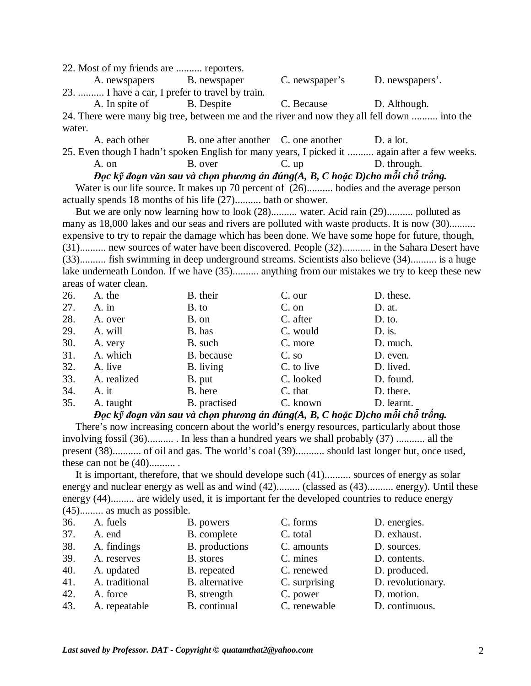22. Most of my friends are .......... reporters.

A. newspapers B. newspaper C. newspaper's D. newspapers'. 23. .......... I have a car, I prefer to travel by train. A. In spite of B. Despite C. Because D. Although. 24. There were many big tree, between me and the river and now they all fell down .......... into the

water.

A. each other B. one after another C. one another D. a lot.

25. Even though I hadn't spoken English for many years, I picked it .......... again after a few weeks.

A. on B. over C. up D. through. Đọc kỹ đoạn văn sau và chọn phương án đúng(A, B, C hoặc D)cho mỗi chỗ trống.

Water is our life source. It makes up 70 percent of  $(26)$ .......... bodies and the average person actually spends 18 months of his life (27).......... bath or shower.

But we are only now learning how to look (28).......... water. Acid rain (29).......... polluted as many as 18,000 lakes and our seas and rivers are polluted with waste products. It is now (30).......... expensive to try to repair the damage which has been done. We have some hope for future, though, (31).......... new sources of water have been discovered. People (32)........... in the Sahara Desert have (33).......... fish swimming in deep underground streams. Scientists also believe (34).......... is a huge lake underneath London. If we have (35).......... anything from our mistakes we try to keep these new areas of water clean.

| 26. | A. the      | B. their     | C. our     | D. these.  |
|-----|-------------|--------------|------------|------------|
| 27. | $A.$ in     | B. to        | C. on      | $D.$ at.   |
| 28. | A. over     | B. on        | C. after   | $D.$ to.   |
| 29. | A. will     | B. has       | C. would   | $D.$ is.   |
| 30. | A. very     | B. such      | C. more    | D. much.   |
| 31. | A. which    | B. because   | $C.$ so    | D. even.   |
| 32. | A. live     | B. living    | C. to live | D. lived.  |
| 33. | A. realized | B. put       | C. looked  | D. found.  |
| 34. | A. it       | B. here      | C. that    | D. there.  |
| 35. | A. taught   | B. practised | C. known   | D. learnt. |

Đọc kỹ đoạn văn sau và chọn phương án đúng(A, B, C hoặc D)cho mỗi chỗ trống.

 There's now increasing concern about the world's energy resources, particularly about those involving fossil (36).......... . In less than a hundred years we shall probably (37) ........... all the present (38)........... of oil and gas. The world's coal (39)........... should last longer but, once used, these can not be (40).......... .

It is important, therefore, that we should develope such (41).......... sources of energy as solar energy and nuclear energy as well as and wind  $(42)$ ......... (classed as  $(43)$ .......... energy). Until these energy (44)......... are widely used, it is important fer the developed countries to reduce energy (45)......... as much as possible.

| 36. | A. fuels       | B. powers      | C. forms      | D. energies.      |
|-----|----------------|----------------|---------------|-------------------|
| 37. | A. end         | B. complete    | C. total      | D. exhaust.       |
| 38. | A. findings    | B. productions | C. amounts    | D. sources.       |
| 39. | A. reserves    | B. stores      | C. mines      | D. contents.      |
| 40. | A. updated     | B. repeated    | C. renewed    | D. produced.      |
| 41. | A. traditional | B. alternative | C. surprising | D. revolutionary. |
| 42. | A. force       | B. strength    | C. power      | D. motion.        |
| 43. | A. repeatable  | B. continual   | C. renewable  | D. continuous.    |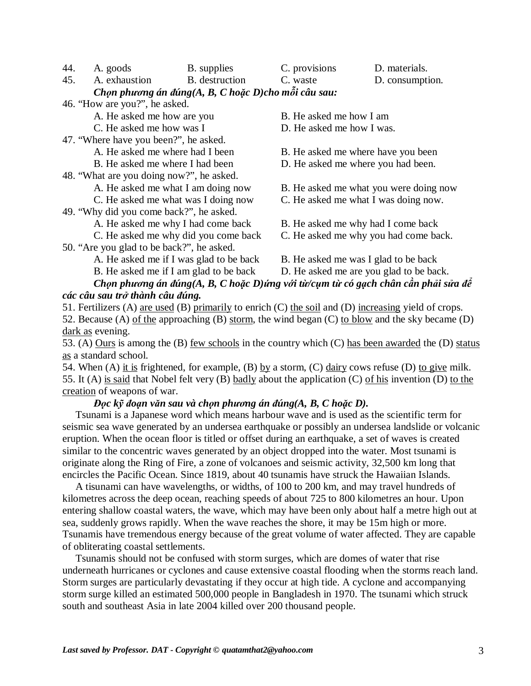44. A. goods B. supplies C. provisions D. materials.

45. A. exhaustion B. destruction C. waste D. consumption.

*Chọn phương án đúng(A, B, C hoặc D)cho mỗi câu sau:* 

46. "How are you?", he asked.

A. He asked me how are you B. He asked me how I am

47. "Where have you been?", he asked.

- 
- 

48. "What are you doing now?", he asked.

49. "Why did you come back?", he asked.

A. He asked me why I had come back B. He asked me why had I come back

50. "Are you glad to be back?", he asked.

B. He asked me if I am glad to be back D. He asked me are you glad to be back.

C. He asked me how was I D. He asked me how I was.

A. He asked me where had I been B. He asked me where have you been

B. He asked me where I had been D. He asked me where you had been.

A. He asked me what I am doing now B. He asked me what you were doing now

C. He asked me what was I doing now C. He asked me what I was doing now.

C. He asked me why did you come back C. He asked me why you had come back.

A. He asked me if I was glad to be back B. He asked me was I glad to be back

## Chon phương án đúng(A, B, C hoặc D)ứng với từ/cụm từ có gạch chân cần phải sửa để *các câu sau trở thành câu đúng.*

51. Fertilizers (A) are used (B) primarily to enrich (C) the soil and (D) increasing yield of crops.

52. Because (A) of the approaching (B) storm, the wind began (C) to blow and the sky became (D) dark as evening.

53. (A) Ours is among the (B) few schools in the country which (C) has been awarded the (D) status as a standard school.

54. When (A) it is frightened, for example, (B) by a storm, (C) dairy cows refuse (D) to give milk. 55. It (A) is said that Nobel felt very (B) badly about the application (C) of his invention (D) to the creation of weapons of war.

## Đọc kỹ đoạn văn sau và chọn phương án đúng(A, B, C hoặc D).

 Tsunami is a Japanese word which means harbour wave and is used as the scientific term for seismic sea wave generated by an undersea earthquake or possibly an undersea landslide or volcanic eruption. When the ocean floor is titled or offset during an earthquake, a set of waves is created similar to the concentric waves generated by an object dropped into the water. Most tsunami is originate along the Ring of Fire, a zone of volcanoes and seismic activity, 32,500 km long that encircles the Pacific Ocean. Since 1819, about 40 tsunamis have struck the Hawaiian Islands.

A tisunami can have wavelengths, or widths, of 100 to 200 km, and may travel hundreds of kilometres across the deep ocean, reaching speeds of about 725 to 800 kilometres an hour. Upon entering shallow coastal waters, the wave, which may have been only about half a metre high out at sea, suddenly grows rapidly. When the wave reaches the shore, it may be 15m high or more. Tsunamis have tremendous energy because of the great volume of water affected. They are capable of obliterating coastal settlements.

 Tsunamis should not be confused with storm surges, which are domes of water that rise underneath hurricanes or cyclones and cause extensive coastal flooding when the storms reach land. Storm surges are particularly devastating if they occur at high tide. A cyclone and accompanying storm surge killed an estimated 500,000 people in Bangladesh in 1970. The tsunami which struck south and southeast Asia in late 2004 killed over 200 thousand people.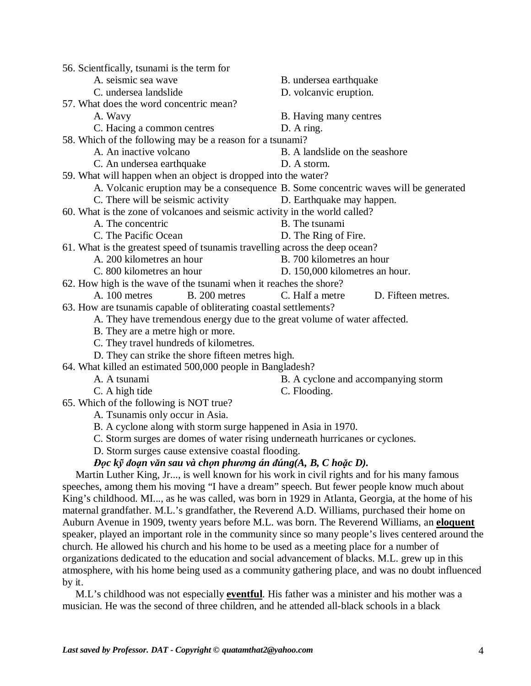| 56. Scientfically, tsunami is the term for                                                          |                                                                                      |
|-----------------------------------------------------------------------------------------------------|--------------------------------------------------------------------------------------|
| A. seismic sea wave                                                                                 | B. undersea earthquake                                                               |
| C. undersea landslide                                                                               | D. volcanvic eruption.                                                               |
| 57. What does the word concentric mean?                                                             |                                                                                      |
| A. Wavy                                                                                             | B. Having many centres                                                               |
| C. Hacing a common centres                                                                          | D. A ring.                                                                           |
| 58. Which of the following may be a reason for a tsunami?                                           |                                                                                      |
| A. An inactive volcano                                                                              | B. A landslide on the seashore                                                       |
| C. An undersea earthquake                                                                           | D. A storm.                                                                          |
| 59. What will happen when an object is dropped into the water?                                      |                                                                                      |
|                                                                                                     | A. Volcanic eruption may be a consequence B. Some concentric waves will be generated |
| C. There will be seismic activity                                                                   | D. Earthquake may happen.                                                            |
| 60. What is the zone of volcanoes and seismic activity in the world called?                         |                                                                                      |
| A. The concentric                                                                                   | B. The tsunami                                                                       |
| C. The Pacific Ocean                                                                                | D. The Ring of Fire.                                                                 |
| 61. What is the greatest speed of tsunamis travelling across the deep ocean?                        |                                                                                      |
| A. 200 kilometres an hour                                                                           | B. 700 kilometres an hour                                                            |
| C. 800 kilometres an hour                                                                           | D. 150,000 kilometres an hour.                                                       |
| 62. How high is the wave of the tsunami when it reaches the shore?                                  |                                                                                      |
| B. 200 metres<br>A. 100 metres                                                                      | C. Half a metre<br>D. Fifteen metres.                                                |
| 63. How are tsunamis capable of obliterating coastal settlements?                                   |                                                                                      |
| A. They have tremendous energy due to the great volume of water affected.                           |                                                                                      |
| B. They are a metre high or more.                                                                   |                                                                                      |
| C. They travel hundreds of kilometres.                                                              |                                                                                      |
| D. They can strike the shore fifteen metres high.                                                   |                                                                                      |
| 64. What killed an estimated 500,000 people in Bangladesh?                                          |                                                                                      |
| A. A tsunami                                                                                        | B. A cyclone and accompanying storm                                                  |
| C. A high tide                                                                                      | C. Flooding.                                                                         |
| 65. Which of the following is NOT true?                                                             |                                                                                      |
| A. Tsunamis only occur in Asia.                                                                     |                                                                                      |
| B. A cyclone along with storm surge happened in Asia in 1970.                                       |                                                                                      |
| C. Storm surges are domes of water rising underneath hurricanes or cyclones.                        |                                                                                      |
| D. Storm surges cause extensive coastal flooding.                                                   |                                                                                      |
| Đọc kỹ đoạn văn sau và chọn phương án đúng $(A, B, C \text{ ho }\xspace\bar{a}c D)$ .               |                                                                                      |
| Martin Luther King, Jr, is well known for his work in civil rights and for his many famous          |                                                                                      |
| speeches, among them his moving "I have a dream" speech. But fewer people know much about           |                                                                                      |
| King's childhood. MI, as he was called, was born in 1929 in Atlanta, Georgia, at the home of his    |                                                                                      |
| maternal grandfather. M.L.'s grandfather, the Reverend A.D. Williams, purchased their home on       |                                                                                      |
| Auburn Avenue in 1909, twenty years before M.L. was born. The Reverend Williams, an eloquent        |                                                                                      |
| speaker, played an important role in the community since so many people's lives centered around the |                                                                                      |
| church. He allowed his church and his home to be used as a meeting place for a number of            |                                                                                      |
| organizations dedicated to the education and social advancement of blacks. M.L. grew up in this     |                                                                                      |
| atmosphere, with his home being used as a community gathering place, and was no doubt influenced    |                                                                                      |
| by it.                                                                                              |                                                                                      |
|                                                                                                     |                                                                                      |

M.L's childhood was not especially **eventful**. His father was a minister and his mother was a musician. He was the second of three children, and he attended all-black schools in a black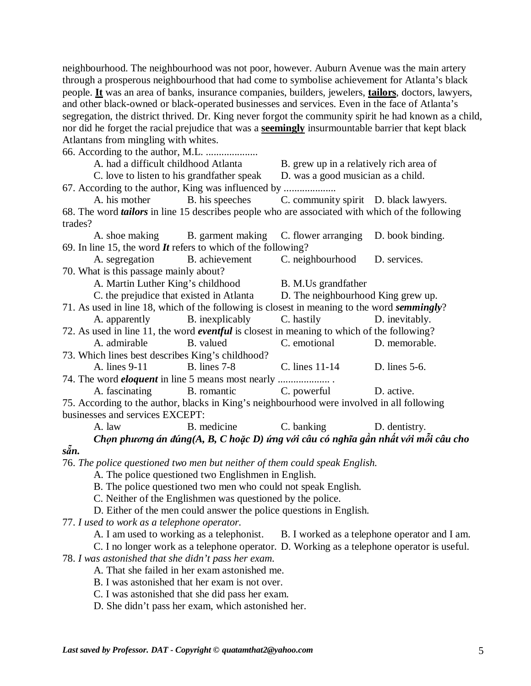neighbourhood. The neighbourhood was not poor, however. Auburn Avenue was the main artery through a prosperous neighbourhood that had come to symbolise achievement for Atlanta's black people. **It** was an area of banks, insurance companies, builders, jewelers, **tailors**, doctors, lawyers, and other black-owned or black-operated businesses and services. Even in the face of Atlanta's segregation, the district thrived. Dr. King never forgot the community spirit he had known as a child, nor did he forget the racial prejudice that was a **seemingly** insurmountable barrier that kept black Atlantans from mingling with whites.

66. According to the author, M.L. ....................

A. had a difficult childhood Atlanta B. grew up in a relatively rich area of

C. love to listen to his grandfather speak D. was a good musician as a child. 67. According to the author, King was influenced by ....................

A. his mother B. his speeches C. community spirit D. black lawyers. 68. The word *tailors* in line 15 describes people who are associated with which of the following trades?

A. shoe making B. garment making C. flower arranging D. book binding. 69. In line 15, the word *It* refers to which of the following?

A. segregation B. achievement C. neighbourhood D. services. 70. What is this passage mainly about?

A. Martin Luther King's childhood B. M.Us grandfather

C. the prejudice that existed in Atlanta D. The neighbourhood King grew up.

71. As used in line 18, which of the following is closest in meaning to the word *semmingly*? A. apparently B. inexplicably C. hastily D. inevitably.

72. As used in line 11, the word *eventful* is closest in meaning to which of the following? A. admirable B. valued C. emotional D. memorable.

73. Which lines best describes King's childhood? A. lines 9-11 B. lines 7-8 C. lines 11-14 D. lines 5-6.

74. The word *eloquent* in line 5 means most nearly .................... . A. fascinating B. romantic C. powerful D. active.

75. According to the author, blacks in King's neighbourhood were involved in all following businesses and services EXCEPT:

A. law B. medicine C. banking D. dentistry.

Chon phương án đúng(A, B, C hoặc D) ứng với câu có nghĩa gần nhất với mỗi câu cho

76. *The police questioned two men but neither of them could speak English.*

A. The police questioned two Englishmen in English.

B. The police questioned two men who could not speak English.

C. Neither of the Englishmen was questioned by the police.

D. Either of the men could answer the police questions in English.

77. *I used to work as a telephone operator.*

*sẵn.* 

A. I am used to working as a telephonist. B. I worked as a telephone operator and I am.

C. I no longer work as a telephone operator. D. Working as a telephone operator is useful.

78. *I was astonished that she didn't pass her exam.*

A. That she failed in her exam astonished me.

B. I was astonished that her exam is not over.

C. I was astonished that she did pass her exam.

D. She didn't pass her exam, which astonished her.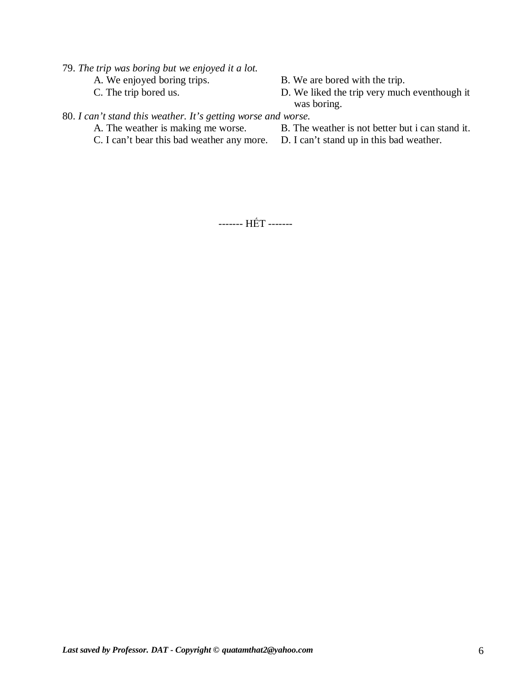79. *The trip was boring but we enjoyed it a lot.* 

- A. We enjoyed boring trips.<br>
B. We are bored with the trip.<br>
D. We liked the trip very much bored us.<br>
D. We liked the trip very much
	- D. We liked the trip very much eventhough it was boring.

## 80. *I can't stand this weather. It's getting worse and worse.*<br>A. The weather is making me worse. B. The

B. The weather is not better but i can stand it.

C. I can't bear this bad weather any more. D. I can't stand up in this bad weather.

------- HẾT -------